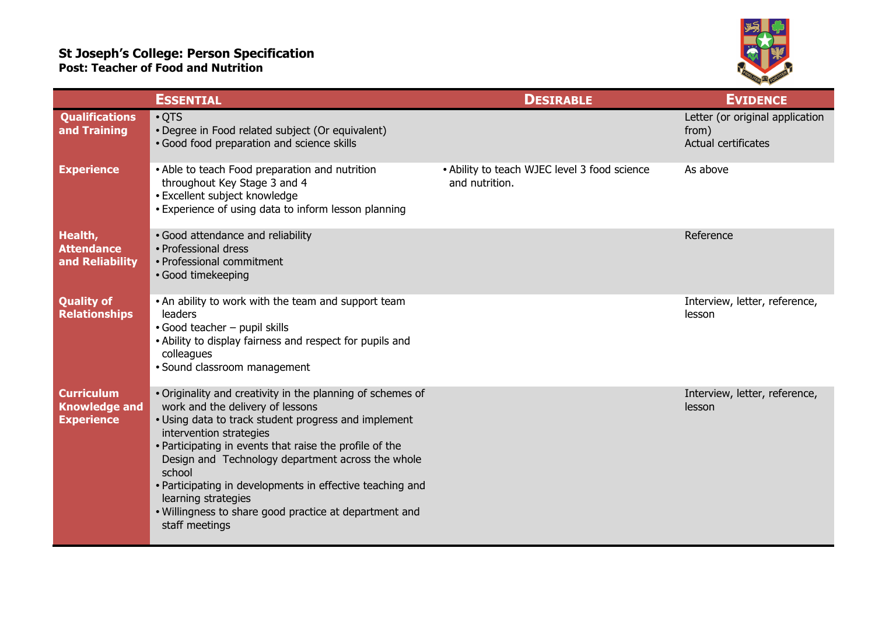## **St Joseph's College: Person Specification Post: Teacher of Food and Nutrition**



|                                                                | <b>ESSENTIAL</b>                                                                                                                                                                                                                                                                                                                                                                                                                                                            | <b>DESIRABLE</b>                                               | <b>EVIDENCE</b>                                                 |
|----------------------------------------------------------------|-----------------------------------------------------------------------------------------------------------------------------------------------------------------------------------------------------------------------------------------------------------------------------------------------------------------------------------------------------------------------------------------------------------------------------------------------------------------------------|----------------------------------------------------------------|-----------------------------------------------------------------|
| <b>Qualifications</b><br>and Training                          | $\cdot$ QTS<br>• Degree in Food related subject (Or equivalent)<br>· Good food preparation and science skills                                                                                                                                                                                                                                                                                                                                                               |                                                                | Letter (or original application<br>from)<br>Actual certificates |
| <b>Experience</b>                                              | • Able to teach Food preparation and nutrition<br>throughout Key Stage 3 and 4<br>· Excellent subject knowledge<br>• Experience of using data to inform lesson planning                                                                                                                                                                                                                                                                                                     | • Ability to teach WJEC level 3 food science<br>and nutrition. | As above                                                        |
| Health,<br><b>Attendance</b><br>and Reliability                | • Good attendance and reliability<br>• Professional dress<br>• Professional commitment<br>• Good timekeeping                                                                                                                                                                                                                                                                                                                                                                |                                                                | Reference                                                       |
| <b>Quality of</b><br><b>Relationships</b>                      | . An ability to work with the team and support team<br>leaders<br>• Good teacher - pupil skills<br>• Ability to display fairness and respect for pupils and<br>colleagues<br>• Sound classroom management                                                                                                                                                                                                                                                                   |                                                                | Interview, letter, reference,<br>lesson                         |
| <b>Curriculum</b><br><b>Knowledge and</b><br><b>Experience</b> | • Originality and creativity in the planning of schemes of<br>work and the delivery of lessons<br>• Using data to track student progress and implement<br>intervention strategies<br>• Participating in events that raise the profile of the<br>Design and Technology department across the whole<br>school<br>• Participating in developments in effective teaching and<br>learning strategies<br>. Willingness to share good practice at department and<br>staff meetings |                                                                | Interview, letter, reference,<br>lesson                         |